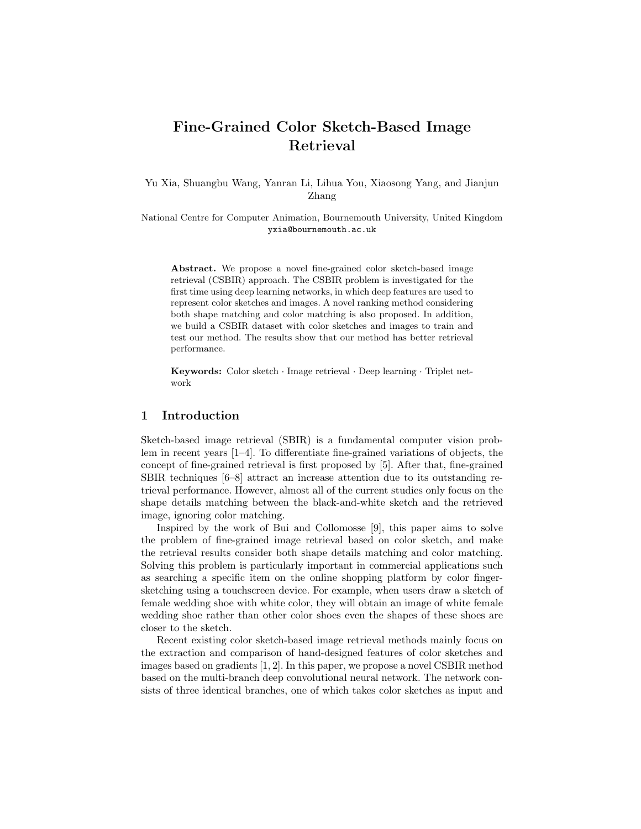# Fine-Grained Color Sketch-Based Image Retrieval

Yu Xia, Shuangbu Wang, Yanran Li, Lihua You, Xiaosong Yang, and Jianjun Zhang

National Centre for Computer Animation, Bournemouth University, United Kingdom yxia@bournemouth.ac.uk

Abstract. We propose a novel fine-grained color sketch-based image retrieval (CSBIR) approach. The CSBIR problem is investigated for the first time using deep learning networks, in which deep features are used to represent color sketches and images. A novel ranking method considering both shape matching and color matching is also proposed. In addition, we build a CSBIR dataset with color sketches and images to train and test our method. The results show that our method has better retrieval performance.

Keywords: Color sketch · Image retrieval · Deep learning · Triplet network

### 1 Introduction

Sketch-based image retrieval (SBIR) is a fundamental computer vision problem in recent years [1–4]. To differentiate fine-grained variations of objects, the concept of fine-grained retrieval is first proposed by [5]. After that, fine-grained SBIR techniques [6–8] attract an increase attention due to its outstanding retrieval performance. However, almost all of the current studies only focus on the shape details matching between the black-and-white sketch and the retrieved image, ignoring color matching.

Inspired by the work of Bui and Collomosse [9], this paper aims to solve the problem of fine-grained image retrieval based on color sketch, and make the retrieval results consider both shape details matching and color matching. Solving this problem is particularly important in commercial applications such as searching a specific item on the online shopping platform by color fingersketching using a touchscreen device. For example, when users draw a sketch of female wedding shoe with white color, they will obtain an image of white female wedding shoe rather than other color shoes even the shapes of these shoes are closer to the sketch.

Recent existing color sketch-based image retrieval methods mainly focus on the extraction and comparison of hand-designed features of color sketches and images based on gradients [1, 2]. In this paper, we propose a novel CSBIR method based on the multi-branch deep convolutional neural network. The network consists of three identical branches, one of which takes color sketches as input and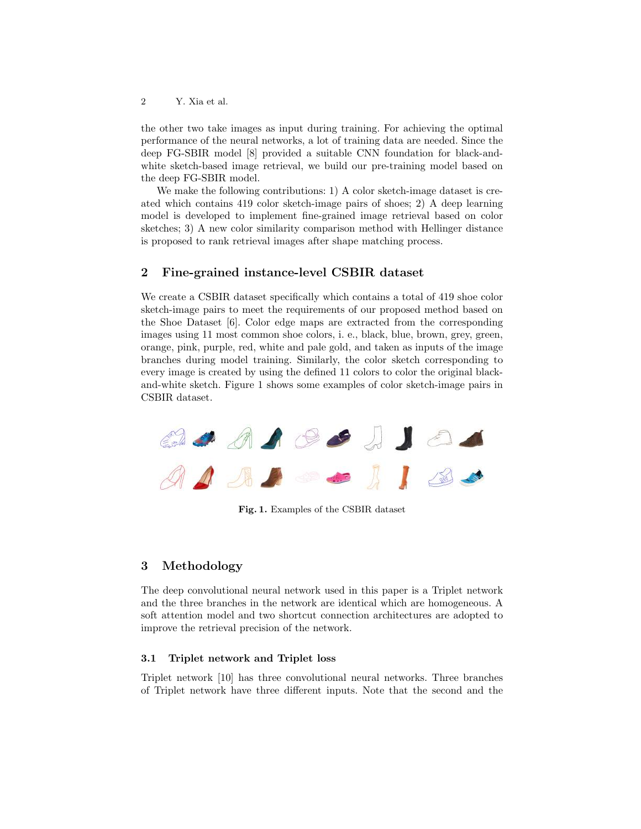2 Y. Xia et al.

the other two take images as input during training. For achieving the optimal performance of the neural networks, a lot of training data are needed. Since the deep FG-SBIR model [8] provided a suitable CNN foundation for black-andwhite sketch-based image retrieval, we build our pre-training model based on the deep FG-SBIR model.

We make the following contributions: 1) A color sketch-image dataset is created which contains 419 color sketch-image pairs of shoes; 2) A deep learning model is developed to implement fine-grained image retrieval based on color sketches; 3) A new color similarity comparison method with Hellinger distance is proposed to rank retrieval images after shape matching process.

## 2 Fine-grained instance-level CSBIR dataset

We create a CSBIR dataset specifically which contains a total of 419 shoe color sketch-image pairs to meet the requirements of our proposed method based on the Shoe Dataset [6]. Color edge maps are extracted from the corresponding images using 11 most common shoe colors, i. e., black, blue, brown, grey, green, orange, pink, purple, red, white and pale gold, and taken as inputs of the image branches during model training. Similarly, the color sketch corresponding to every image is created by using the defined 11 colors to color the original blackand-white sketch. Figure 1 shows some examples of color sketch-image pairs in CSBIR dataset.



Fig. 1. Examples of the CSBIR dataset

## 3 Methodology

The deep convolutional neural network used in this paper is a Triplet network and the three branches in the network are identical which are homogeneous. A soft attention model and two shortcut connection architectures are adopted to improve the retrieval precision of the network.

#### 3.1 Triplet network and Triplet loss

Triplet network [10] has three convolutional neural networks. Three branches of Triplet network have three different inputs. Note that the second and the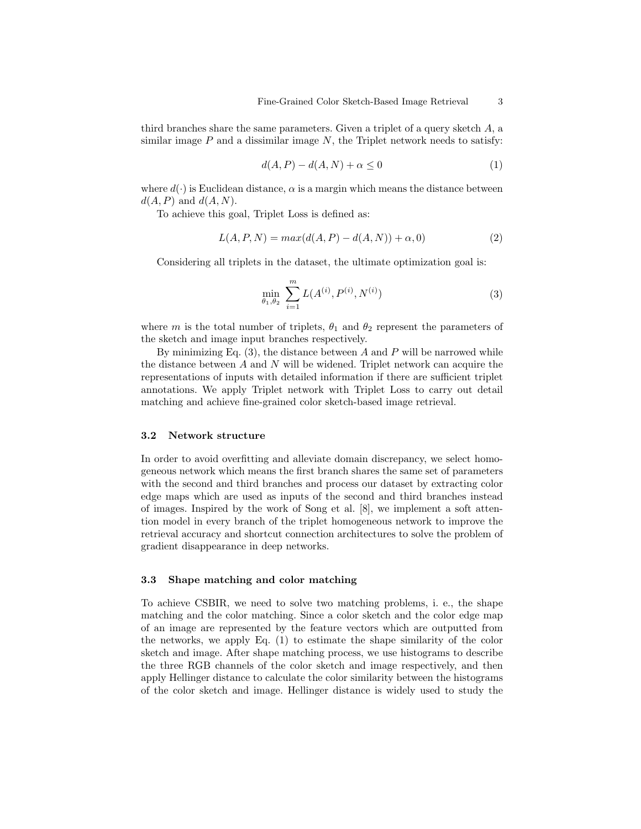third branches share the same parameters. Given a triplet of a query sketch  $A$ , a similar image  $P$  and a dissimilar image  $N$ , the Triplet network needs to satisfy:

$$
d(A, P) - d(A, N) + \alpha \le 0 \tag{1}
$$

where  $d(\cdot)$  is Euclidean distance,  $\alpha$  is a margin which means the distance between  $d(A, P)$  and  $d(A, N)$ .

To achieve this goal, Triplet Loss is defined as:

$$
L(A, P, N) = max(d(A, P) - d(A, N)) + \alpha, 0)
$$
\n(2)

Considering all triplets in the dataset, the ultimate optimization goal is:

$$
\min_{\theta_1, \theta_2} \sum_{i=1}^m L(A^{(i)}, P^{(i)}, N^{(i)}) \tag{3}
$$

where m is the total number of triplets,  $\theta_1$  and  $\theta_2$  represent the parameters of the sketch and image input branches respectively.

By minimizing Eq.  $(3)$ , the distance between A and P will be narrowed while the distance between  $A$  and  $N$  will be widened. Triplet network can acquire the representations of inputs with detailed information if there are sufficient triplet annotations. We apply Triplet network with Triplet Loss to carry out detail matching and achieve fine-grained color sketch-based image retrieval.

#### 3.2 Network structure

In order to avoid overfitting and alleviate domain discrepancy, we select homogeneous network which means the first branch shares the same set of parameters with the second and third branches and process our dataset by extracting color edge maps which are used as inputs of the second and third branches instead of images. Inspired by the work of Song et al. [8], we implement a soft attention model in every branch of the triplet homogeneous network to improve the retrieval accuracy and shortcut connection architectures to solve the problem of gradient disappearance in deep networks.

#### 3.3 Shape matching and color matching

To achieve CSBIR, we need to solve two matching problems, i. e., the shape matching and the color matching. Since a color sketch and the color edge map of an image are represented by the feature vectors which are outputted from the networks, we apply Eq. (1) to estimate the shape similarity of the color sketch and image. After shape matching process, we use histograms to describe the three RGB channels of the color sketch and image respectively, and then apply Hellinger distance to calculate the color similarity between the histograms of the color sketch and image. Hellinger distance is widely used to study the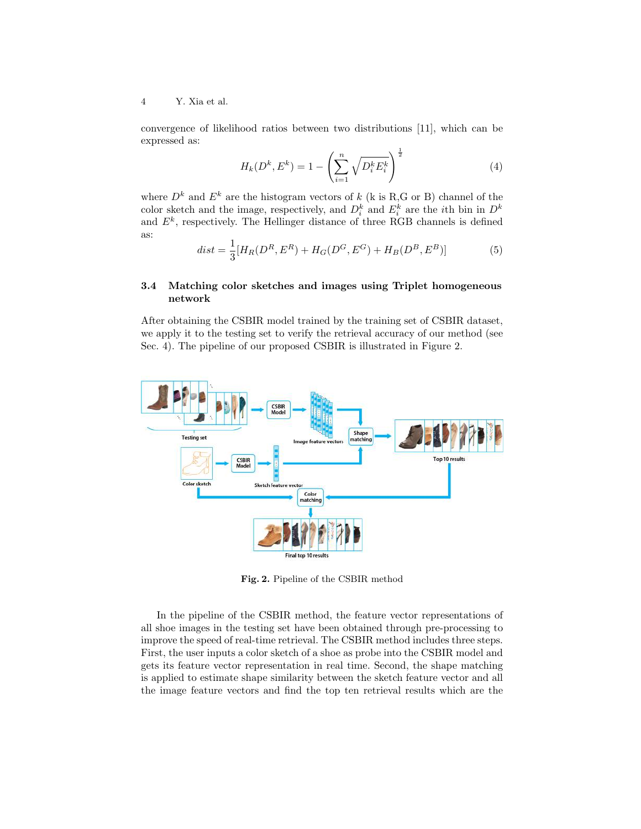4 Y. Xia et al.

convergence of likelihood ratios between two distributions [11], which can be expressed as:

$$
H_k(D^k, E^k) = 1 - \left(\sum_{i=1}^n \sqrt{D_i^k E_i^k}\right)^{\frac{1}{2}}
$$
 (4)

where  $D^k$  and  $E^k$  are the histogram vectors of k (k is R,G or B) channel of the color sketch and the image, respectively, and  $D_i^k$  and  $E_i^k$  are the *i*th bin in  $D^k$ and  $E<sup>k</sup>$ , respectively. The Hellinger distance of three RGB channels is defined as:

$$
dist = \frac{1}{3}[H_R(D^R, E^R) + H_G(D^G, E^G) + H_B(D^B, E^B)]
$$
(5)

#### 3.4 Matching color sketches and images using Triplet homogeneous network

After obtaining the CSBIR model trained by the training set of CSBIR dataset, we apply it to the testing set to verify the retrieval accuracy of our method (see Sec. 4). The pipeline of our proposed CSBIR is illustrated in Figure 2.



Fig. 2. Pipeline of the CSBIR method

In the pipeline of the CSBIR method, the feature vector representations of all shoe images in the testing set have been obtained through pre-processing to improve the speed of real-time retrieval. The CSBIR method includes three steps. First, the user inputs a color sketch of a shoe as probe into the CSBIR model and gets its feature vector representation in real time. Second, the shape matching is applied to estimate shape similarity between the sketch feature vector and all the image feature vectors and find the top ten retrieval results which are the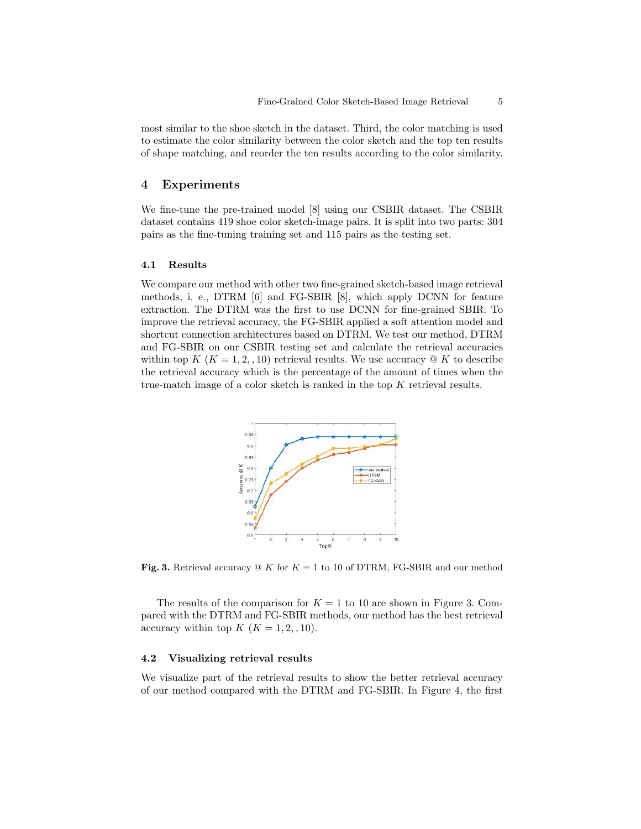most similar to the shoe sketch in the dataset. Third, the color matching is used to estimate the color similarity between the color sketch and the top ten results of shape matching, and reorder the ten results according to the color similarity.

## 4 Experiments

We fine-tune the pre-trained model [8] using our CSBIR dataset. The CSBIR dataset contains 419 shoe color sketch-image pairs. It is split into two parts: 304 pairs as the fine-tuning training set and 115 pairs as the testing set.

#### 4.1 Results

We compare our method with other two fine-grained sketch-based image retrieval methods, i. e., DTRM [6] and FG-SBIR [8], which apply DCNN for feature extraction. The DTRM was the first to use DCNN for fine-grained SBIR. To improve the retrieval accuracy, the FG-SBIR applied a soft attention model and shortcut connection architectures based on DTRM. We test our method, DTRM and FG-SBIR on our CSBIR testing set and calculate the retrieval accuracies within top K ( $K = 1, 2, 10$ ) retrieval results. We use accuracy  $\mathcal Q$  K to describe the retrieval accuracy which is the percentage of the amount of times when the true-match image of a color sketch is ranked in the top  $K$  retrieval results.



Fig. 3. Retrieval accuracy  $\mathcal Q$  K for  $K = 1$  to 10 of DTRM, FG-SBIR and our method

The results of the comparison for  $K = 1$  to 10 are shown in Figure 3. Compared with the DTRM and FG-SBIR methods, our method has the best retrieval accuracy within top  $K$   $(K = 1, 2, 10)$ .

#### 4.2 Visualizing retrieval results

We visualize part of the retrieval results to show the better retrieval accuracy of our method compared with the DTRM and FG-SBIR. In Figure 4, the first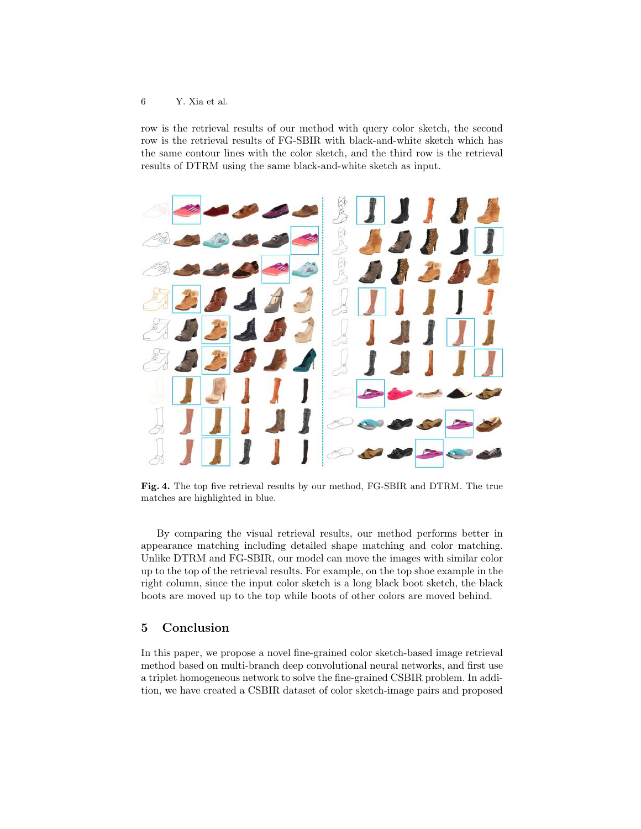#### 6 Y. Xia et al.

row is the retrieval results of our method with query color sketch, the second row is the retrieval results of FG-SBIR with black-and-white sketch which has the same contour lines with the color sketch, and the third row is the retrieval results of DTRM using the same black-and-white sketch as input.



Fig. 4. The top five retrieval results by our method, FG-SBIR and DTRM. The true matches are highlighted in blue.

By comparing the visual retrieval results, our method performs better in appearance matching including detailed shape matching and color matching. Unlike DTRM and FG-SBIR, our model can move the images with similar color up to the top of the retrieval results. For example, on the top shoe example in the right column, since the input color sketch is a long black boot sketch, the black boots are moved up to the top while boots of other colors are moved behind.

## 5 Conclusion

In this paper, we propose a novel fine-grained color sketch-based image retrieval method based on multi-branch deep convolutional neural networks, and first use a triplet homogeneous network to solve the fine-grained CSBIR problem. In addition, we have created a CSBIR dataset of color sketch-image pairs and proposed